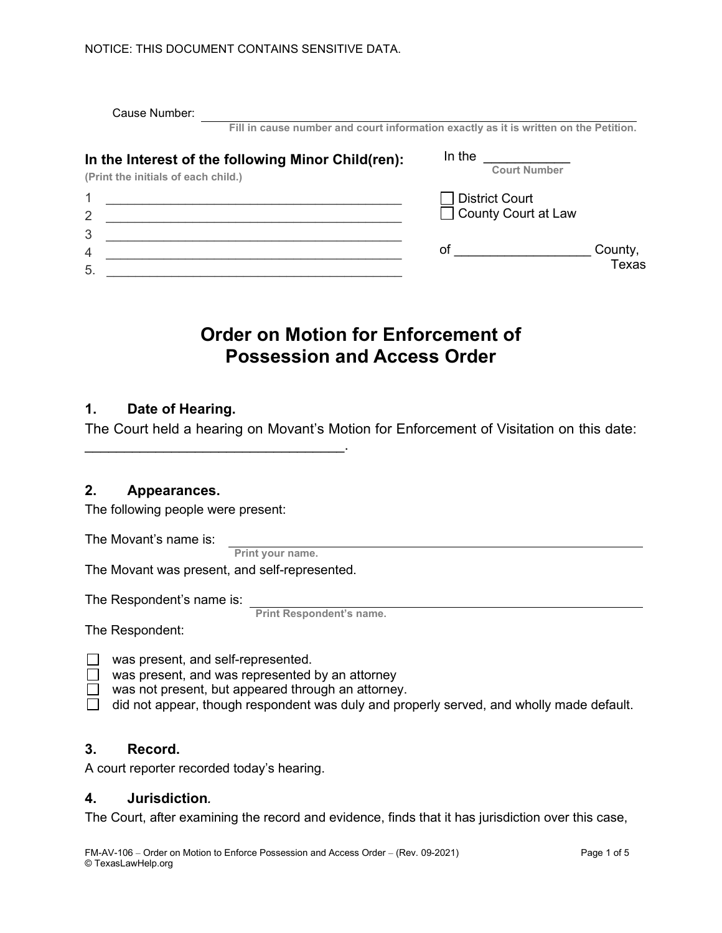| Cause Number:                                                                             |                                                                                      |
|-------------------------------------------------------------------------------------------|--------------------------------------------------------------------------------------|
|                                                                                           | Fill in cause number and court information exactly as it is written on the Petition. |
| In the Interest of the following Minor Child(ren):<br>(Print the initials of each child.) | In the<br><b>Court Number</b>                                                        |
|                                                                                           | District Court                                                                       |
| $\overline{2}$<br>3                                                                       | County Court at Law                                                                  |
| 4<br>5.                                                                                   | County,<br>оf<br><b>Texas</b>                                                        |

# **Order on Motion for Enforcement of Possession and Access Order**

## **1. Date of Hearing.**

The Court held a hearing on Movant's Motion for Enforcement of Visitation on this date:

## **2. Appearances.**

The following people were present:

The Movant's name is:

**Print your name.**

The Movant was present, and self-represented.

\_\_\_\_\_\_\_\_\_\_\_\_\_\_\_\_\_\_\_\_\_\_\_\_\_\_\_\_\_\_\_\_\_.

The Respondent's name is:

**Print Respondent's name.**

The Respondent:

- $\Box$  was present, and self-represented.
- $\Box$  was present, and was represented by an attorney
- $\Box$  was not present, but appeared through an attorney.
- $\Box$  did not appear, though respondent was duly and properly served, and wholly made default.

#### **3. Record.**

A court reporter recorded today's hearing.

#### **4. Jurisdiction***.*

The Court, after examining the record and evidence, finds that it has jurisdiction over this case,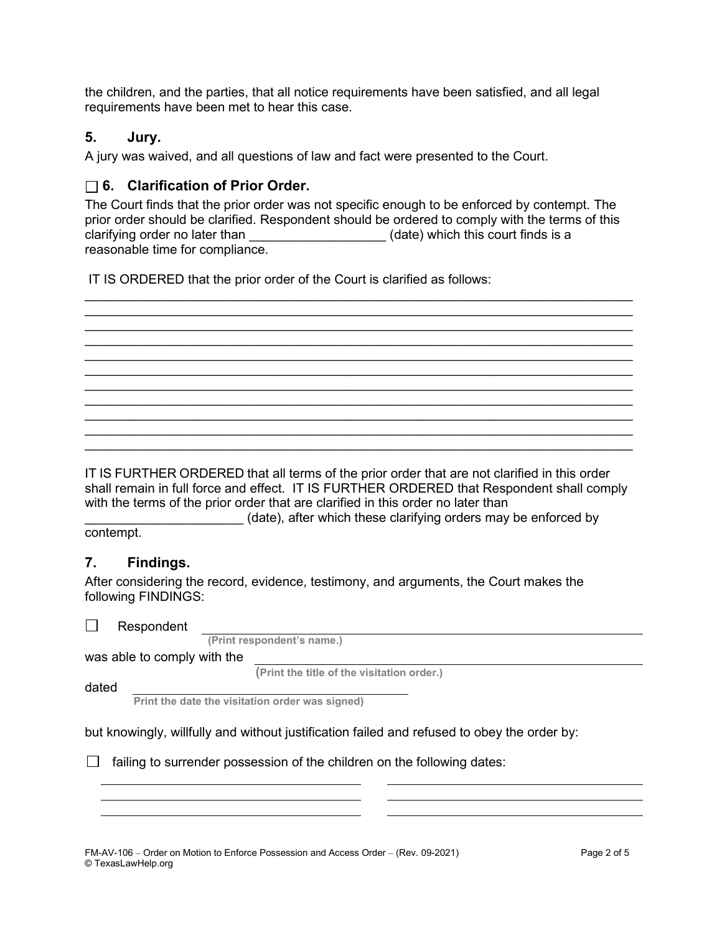the children, and the parties, that all notice requirements have been satisfied, and all legal requirements have been met to hear this case.

## **5. Jury.**

A jury was waived, and all questions of law and fact were presented to the Court.

## **6. Clarification of Prior Order.**

The Court finds that the prior order was not specific enough to be enforced by contempt. The prior order should be clarified. Respondent should be ordered to comply with the terms of this clarifying order no later than \_\_\_\_\_\_\_\_\_\_\_\_\_\_\_\_\_\_\_\_\_\_(date) which this court finds is a reasonable time for compliance.

 $\mathcal{L}_\text{max}$  , and the set of the set of the set of the set of the set of the set of the set of the set of the set of the set of the set of the set of the set of the set of the set of the set of the set of the set of the  $\mathcal{L} = \{ \mathcal{L} = \{ \mathcal{L} = \mathcal{L} \} \cup \{ \mathcal{L} = \{ \mathcal{L} = \mathcal{L} \} \cup \{ \mathcal{L} = \{ \mathcal{L} = \mathcal{L} \} \cup \{ \mathcal{L} = \{ \mathcal{L} = \mathcal{L} \} \cup \{ \mathcal{L} = \{ \mathcal{L} = \mathcal{L} \} \cup \{ \mathcal{L} = \{ \mathcal{L} = \mathcal{L} \} \cup \{ \mathcal{L} = \{ \mathcal{L} = \mathcal{L} \} \cup \{ \mathcal{L} = \{ \mathcal{L}$  $\mathcal{L}_\text{max}$  , and the set of the set of the set of the set of the set of the set of the set of the set of the set of the set of the set of the set of the set of the set of the set of the set of the set of the set of the  $\mathcal{L}_\text{max}$  , and the set of the set of the set of the set of the set of the set of the set of the set of the set of the set of the set of the set of the set of the set of the set of the set of the set of the set of the  $\_$  , and the contribution of the contribution of  $\mathcal{L}_1$  , and the contribution of  $\mathcal{L}_2$  $\mathcal{L} = \{ \mathcal{L} = \{ \mathcal{L} = \mathcal{L} \} \cup \{ \mathcal{L} = \{ \mathcal{L} = \mathcal{L} \} \cup \{ \mathcal{L} = \{ \mathcal{L} = \mathcal{L} \} \cup \{ \mathcal{L} = \{ \mathcal{L} = \mathcal{L} \} \cup \{ \mathcal{L} = \{ \mathcal{L} = \mathcal{L} \} \cup \{ \mathcal{L} = \{ \mathcal{L} = \mathcal{L} \} \cup \{ \mathcal{L} = \{ \mathcal{L} = \mathcal{L} \} \cup \{ \mathcal{L} = \{ \mathcal{L}$  $\mathcal{L}_\text{max}$  , and the set of the set of the set of the set of the set of the set of the set of the set of the set of the set of the set of the set of the set of the set of the set of the set of the set of the set of the  $\mathcal{L}_\text{max}$  , and the set of the set of the set of the set of the set of the set of the set of the set of the set of the set of the set of the set of the set of the set of the set of the set of the set of the set of the  $\_$  , and the contribution of the contribution of  $\mathcal{L}_1$  , and the contribution of  $\mathcal{L}_2$  $\mathcal{L} = \{ \mathcal{L} = \{ \mathcal{L} = \mathcal{L} \} \cup \{ \mathcal{L} = \{ \mathcal{L} = \mathcal{L} \} \cup \{ \mathcal{L} = \{ \mathcal{L} = \mathcal{L} \} \cup \{ \mathcal{L} = \{ \mathcal{L} = \mathcal{L} \} \cup \{ \mathcal{L} = \{ \mathcal{L} = \mathcal{L} \} \cup \{ \mathcal{L} = \{ \mathcal{L} = \mathcal{L} \} \cup \{ \mathcal{L} = \{ \mathcal{L} = \mathcal{L} \} \cup \{ \mathcal{L} = \{ \mathcal{L}$  $\mathcal{L}_\text{max}$  , and the set of the set of the set of the set of the set of the set of the set of the set of the set of the set of the set of the set of the set of the set of the set of the set of the set of the set of the

IT IS ORDERED that the prior order of the Court is clarified as follows:

IT IS FURTHER ORDERED that all terms of the prior order that are not clarified in this order shall remain in full force and effect. IT IS FURTHER ORDERED that Respondent shall comply with the terms of the prior order that are clarified in this order no later than

(date), after which these clarifying orders may be enforced by

contempt.

## **7. Findings.**

After considering the record, evidence, testimony, and arguments, the Court makes the following FINDINGS:

| Respondent |  |
|------------|--|
|------------|--|

| __________________          |                                            |  |  |  |
|-----------------------------|--------------------------------------------|--|--|--|
| (Print respondent's name.)  |                                            |  |  |  |
| was able to comply with the |                                            |  |  |  |
|                             | (Print the title of the visitation order.) |  |  |  |

dated

**Print the date the visitation order was signed)**

but knowingly, willfully and without justification failed and refused to obey the order by:

 $\Box$  failing to surrender possession of the children on the following dates: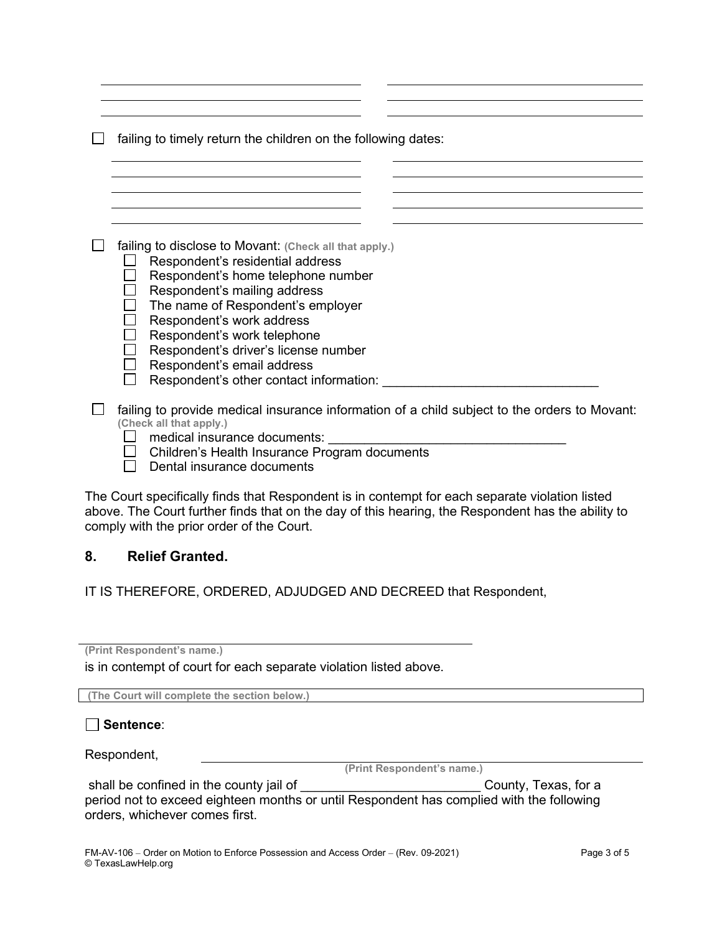$\Box$  failing to timely return the children on the following dates:

failing to disclose to Movant: **(Check all that apply.)**

- $\Box$  Respondent's residential address
- $\Box$  Respondent's home telephone number
- $\Box$  Respondent's mailing address
- $\Box$  The name of Respondent's employer
- $\Box$  Respondent's work address
- $\Box$  Respondent's work telephone
- $\Box$  Respondent's driver's license number
- $\Box$  Respondent's email address
- $\Box$  Respondent's other contact information:

 $\Box$  failing to provide medical insurance information of a child subject to the orders to Movant: **(Check all that apply.)**

- $\Box$  medical insurance documents:
- $\Box$  Children's Health Insurance Program documents
- $\Box$  Dental insurance documents

The Court specifically finds that Respondent is in contempt for each separate violation listed above. The Court further finds that on the day of this hearing, the Respondent has the ability to comply with the prior order of the Court.

## **8. Relief Granted.**

IT IS THEREFORE, ORDERED, ADJUDGED AND DECREED that Respondent,

**(Print Respondent's name.)** 

is in contempt of court for each separate violation listed above.

**(The Court will complete the section below.)**

**Sentence**:

Respondent,

**(Print Respondent's name.)**

shall be confined in the county jail of \_\_\_\_\_\_\_\_\_\_\_\_\_\_\_\_\_\_\_\_\_\_\_\_\_\_\_\_\_\_\_\_County, Texas, for a period not to exceed eighteen months or until Respondent has complied with the following orders, whichever comes first.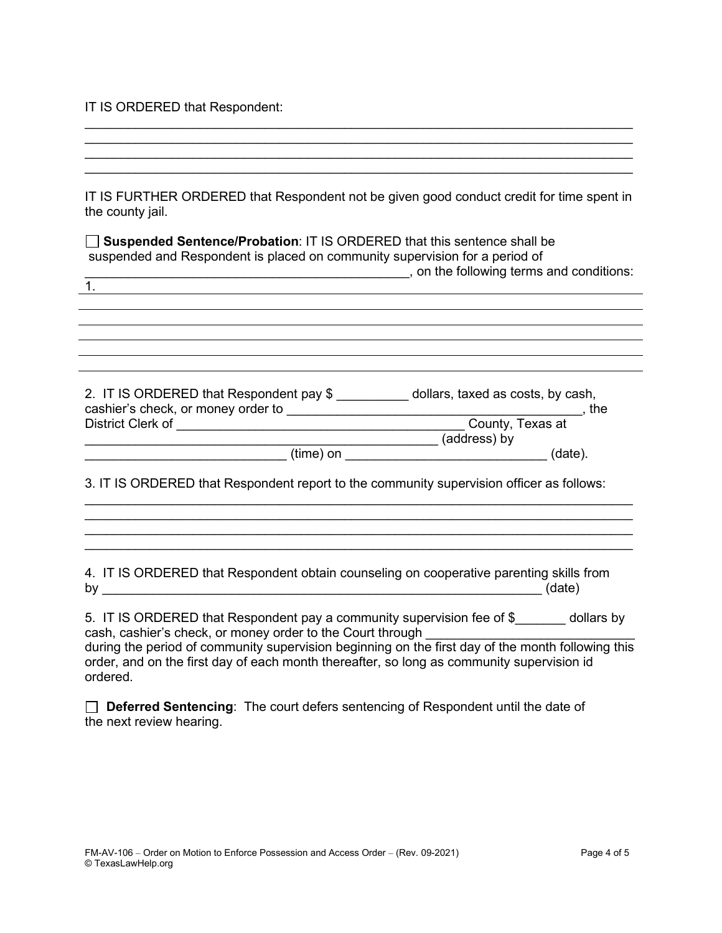IT IS ORDERED that Respondent:

 $\mathcal{L}_\text{max}$  , and the contribution of the contribution of the contribution of the contribution of the contribution of the contribution of the contribution of the contribution of the contribution of the contribution of t \_\_\_\_\_\_\_\_\_\_\_\_\_\_\_\_\_\_\_\_\_\_\_\_\_\_\_\_\_\_\_\_\_\_\_\_\_\_\_\_\_\_\_\_\_\_\_\_\_\_\_\_\_\_\_\_\_\_\_\_\_\_\_\_\_\_\_\_\_\_\_\_\_\_\_\_ IT IS FURTHER ORDERED that Respondent not be given good conduct credit for time spent in the county jail. **Suspended Sentence/Probation**: IT IS ORDERED that this sentence shall be suspended and Respondent is placed on community supervision for a period of \_\_\_\_\_\_\_\_\_\_\_\_\_\_\_\_\_\_\_\_\_\_\_\_\_\_\_\_\_\_\_\_\_\_\_\_\_\_\_\_\_\_\_\_\_, on the following terms and conditions: 1. 2. IT IS ORDERED that Respondent pay \$ \_\_\_\_\_\_\_\_\_\_ dollars, taxed as costs, by cash, cashier's check, or money order to \_\_\_\_\_\_\_\_\_\_\_\_\_\_\_\_\_\_\_\_\_\_\_\_\_\_\_\_\_\_\_\_\_\_\_\_\_\_\_\_\_, the District Clerk of \_\_\_\_\_\_\_\_\_\_\_\_\_\_\_\_\_\_\_\_\_\_\_\_\_\_\_\_\_\_\_\_\_\_\_\_\_\_\_\_ County, Texas at \_\_\_\_\_\_\_\_\_\_\_\_\_\_\_\_\_\_\_\_\_\_\_\_\_\_\_\_\_\_\_\_\_\_\_\_\_\_\_\_\_\_\_\_\_\_\_\_\_ (address) by  $(\text{time})$  on  $(\text{time})$ 3. IT IS ORDERED that Respondent report to the community supervision officer as follows: \_\_\_\_\_\_\_\_\_\_\_\_\_\_\_\_\_\_\_\_\_\_\_\_\_\_\_\_\_\_\_\_\_\_\_\_\_\_\_\_\_\_\_\_\_\_\_\_\_\_\_\_\_\_\_\_\_\_\_\_\_\_\_\_\_\_\_\_\_\_\_\_\_\_\_\_  $\mathcal{L}_\text{max}$  , and the contribution of the contribution of the contribution of the contribution of the contribution of the contribution of the contribution of the contribution of the contribution of the contribution of t  $\mathcal{L}_\text{max}$  , and the contribution of the contribution of the contribution of the contribution of the contribution of the contribution of the contribution of the contribution of the contribution of the contribution of t \_\_\_\_\_\_\_\_\_\_\_\_\_\_\_\_\_\_\_\_\_\_\_\_\_\_\_\_\_\_\_\_\_\_\_\_\_\_\_\_\_\_\_\_\_\_\_\_\_\_\_\_\_\_\_\_\_\_\_\_\_\_\_\_\_\_\_\_\_\_\_\_\_\_\_\_ 4. IT IS ORDERED that Respondent obtain counseling on cooperative parenting skills from by \_\_\_\_\_\_\_\_\_\_\_\_\_\_\_\_\_\_\_\_\_\_\_\_\_\_\_\_\_\_\_\_\_\_\_\_\_\_\_\_\_\_\_\_\_\_\_\_\_\_\_\_\_\_\_\_\_\_\_\_\_ (date) 5. IT IS ORDERED that Respondent pay a community supervision fee of \$ dollars by cash, cashier's check, or money order to the Court through during the period of community supervision beginning on the first day of the month following this order, and on the first day of each month thereafter, so long as community supervision id ordered.

\_\_\_\_\_\_\_\_\_\_\_\_\_\_\_\_\_\_\_\_\_\_\_\_\_\_\_\_\_\_\_\_\_\_\_\_\_\_\_\_\_\_\_\_\_\_\_\_\_\_\_\_\_\_\_\_\_\_\_\_\_\_\_\_\_\_\_\_\_\_\_\_\_\_\_\_

**Deferred Sentencing**: The court defers sentencing of Respondent until the date of the next review hearing.